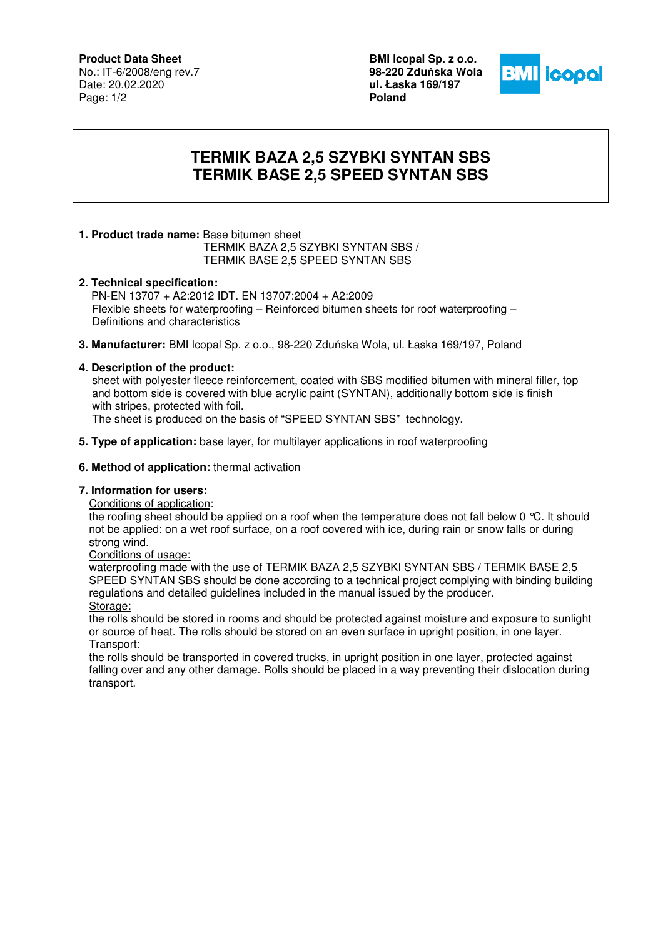### **Product Data Sheet**

No.: IT-6/2008/eng rev.7 Date: 20.02.2020 Page: 1/2

**BMI Icopal Sp. z o.o. 98-220 Zdu**ń**ska Wola ul. Łaska 169/197 Poland** 



# **TERMIK BAZA 2,5 SZYBKI SYNTAN SBS TERMIK BASE 2,5 SPEED SYNTAN SBS**

# **1. Product trade name:** Base bitumen sheet

 TERMIK BAZA 2,5 SZYBKI SYNTAN SBS / TERMIK BASE 2,5 SPEED SYNTAN SBS

### **2. Technical specification:**

PN-EN 13707 + A2:2012 IDT. EN 13707:2004 + A2:2009 Flexible sheets for waterproofing – Reinforced bitumen sheets for roof waterproofing – Definitions and characteristics

**3. Manufacturer:** BMI Icopal Sp. z o.o., 98-220 Zduńska Wola, ul. Łaska 169/197, Poland

### **4. Description of the product:**

 sheet with polyester fleece reinforcement, coated with SBS modified bitumen with mineral filler, top and bottom side is covered with blue acrylic paint (SYNTAN), additionally bottom side is finish with stripes, protected with foil.

The sheet is produced on the basis of "SPEED SYNTAN SBS" technology.

**5. Type of application:** base layer, for multilayer applications in roof waterproofing

### **6. Method of application:** thermal activation

## **7. Information for users:**

#### Conditions of application:

the roofing sheet should be applied on a roof when the temperature does not fall below 0 °C. It should not be applied: on a wet roof surface, on a roof covered with ice, during rain or snow falls or during strong wind.

Conditions of usage:

waterproofing made with the use of TERMIK BAZA 2,5 SZYBKI SYNTAN SBS / TERMIK BASE 2,5 SPEED SYNTAN SBS should be done according to a technical project complying with binding building regulations and detailed guidelines included in the manual issued by the producer. Storage:

the rolls should be stored in rooms and should be protected against moisture and exposure to sunlight or source of heat. The rolls should be stored on an even surface in upright position, in one layer. Transport:

the rolls should be transported in covered trucks, in upright position in one layer, protected against falling over and any other damage. Rolls should be placed in a way preventing their dislocation during transport.